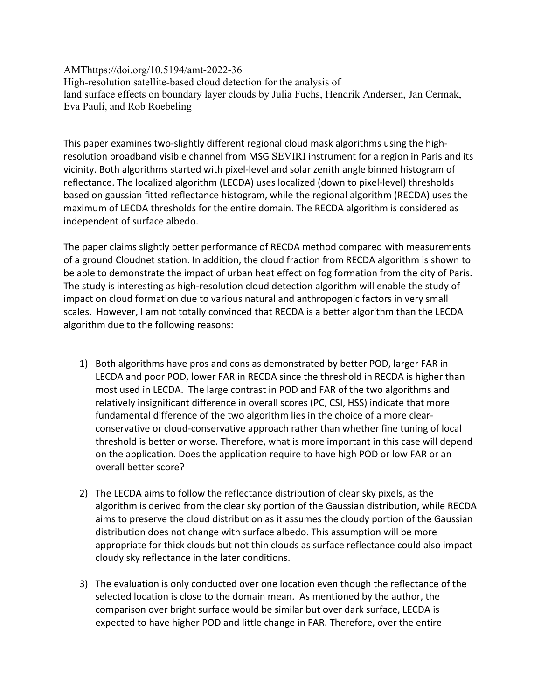AMThttps://doi.org/10.5194/amt-2022-36 High-resolution satellite-based cloud detection for the analysis of land surface effects on boundary layer clouds by Julia Fuchs, Hendrik Andersen, Jan Cermak, Eva Pauli, and Rob Roebeling

This paper examines two-slightly different regional cloud mask algorithms using the highresolution broadband visible channel from MSG SEVIRI instrument for a region in Paris and its vicinity. Both algorithms started with pixel-level and solar zenith angle binned histogram of reflectance. The localized algorithm (LECDA) uses localized (down to pixel-level) thresholds based on gaussian fitted reflectance histogram, while the regional algorithm (RECDA) uses the maximum of LECDA thresholds for the entire domain. The RECDA algorithm is considered as independent of surface albedo.

The paper claims slightly better performance of RECDA method compared with measurements of a ground Cloudnet station. In addition, the cloud fraction from RECDA algorithm is shown to be able to demonstrate the impact of urban heat effect on fog formation from the city of Paris. The study is interesting as high-resolution cloud detection algorithm will enable the study of impact on cloud formation due to various natural and anthropogenic factors in very small scales. However, I am not totally convinced that RECDA is a better algorithm than the LECDA algorithm due to the following reasons:

- 1) Both algorithms have pros and cons as demonstrated by better POD, larger FAR in LECDA and poor POD, lower FAR in RECDA since the threshold in RECDA is higher than most used in LECDA. The large contrast in POD and FAR of the two algorithms and relatively insignificant difference in overall scores (PC, CSI, HSS) indicate that more fundamental difference of the two algorithm lies in the choice of a more clearconservative or cloud-conservative approach rather than whether fine tuning of local threshold is better or worse. Therefore, what is more important in this case will depend on the application. Does the application require to have high POD or low FAR or an overall better score?
- 2) The LECDA aims to follow the reflectance distribution of clear sky pixels, as the algorithm is derived from the clear sky portion of the Gaussian distribution, while RECDA aims to preserve the cloud distribution as it assumes the cloudy portion of the Gaussian distribution does not change with surface albedo. This assumption will be more appropriate for thick clouds but not thin clouds as surface reflectance could also impact cloudy sky reflectance in the later conditions.
- 3) The evaluation is only conducted over one location even though the reflectance of the selected location is close to the domain mean. As mentioned by the author, the comparison over bright surface would be similar but over dark surface, LECDA is expected to have higher POD and little change in FAR. Therefore, over the entire